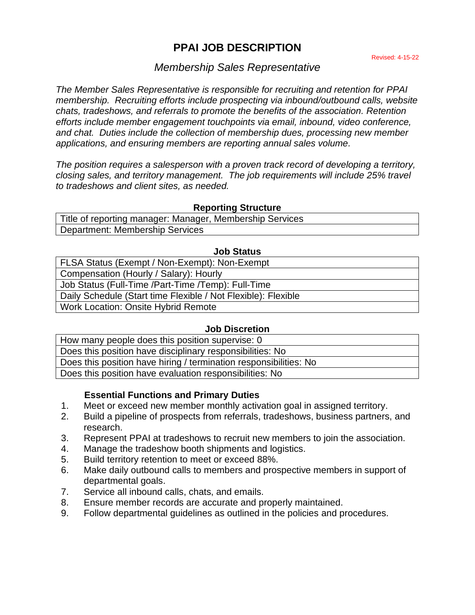# **PPAI JOB DESCRIPTION**

# *Membership Sales Representative*

*The Member Sales Representative is responsible for recruiting and retention for PPAI membership. Recruiting efforts include prospecting via inbound/outbound calls, website chats, tradeshows, and referrals to promote the benefits of the association. Retention efforts include member engagement touchpoints via email, inbound, video conference, and chat. Duties include the collection of membership dues, processing new member applications, and ensuring members are reporting annual sales volume.*

*The position requires a salesperson with a proven track record of developing a territory, closing sales, and territory management. The job requirements will include 25% travel to tradeshows and client sites, as needed.* 

### **Reporting Structure**

Title of reporting manager: Manager, Membership Services Department: Membership Services

### **Job Status**

| FLSA Status (Exempt / Non-Exempt): Non-Exempt                 |
|---------------------------------------------------------------|
| Compensation (Hourly / Salary): Hourly                        |
| Job Status (Full-Time /Part-Time /Temp): Full-Time            |
| Daily Schedule (Start time Flexible / Not Flexible): Flexible |
| <b>Work Location: Onsite Hybrid Remote</b>                    |
|                                                               |

### **Job Discretion**

How many people does this position supervise: 0 Does this position have disciplinary responsibilities: No Does this position have hiring / termination responsibilities: No Does this position have evaluation responsibilities: No

# **Essential Functions and Primary Duties**

- 1. Meet or exceed new member monthly activation goal in assigned territory.
- 2. Build a pipeline of prospects from referrals, tradeshows, business partners, and research.
- 3. Represent PPAI at tradeshows to recruit new members to join the association.
- 4. Manage the tradeshow booth shipments and logistics.
- 5. Build territory retention to meet or exceed 88%.
- 6. Make daily outbound calls to members and prospective members in support of departmental goals.
- 7. Service all inbound calls, chats, and emails.
- 8. Ensure member records are accurate and properly maintained.
- 9. Follow departmental guidelines as outlined in the policies and procedures.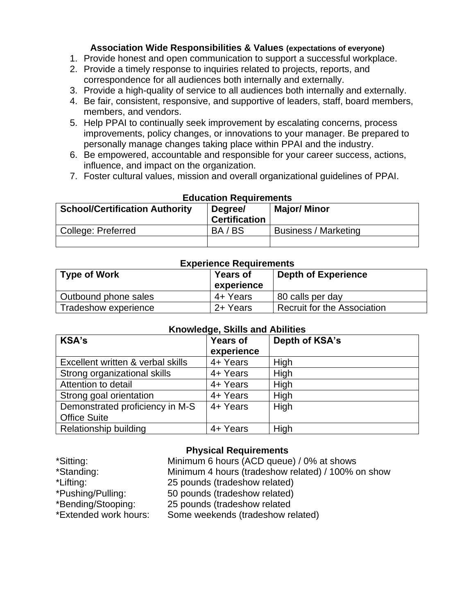# **Association Wide Responsibilities & Values (expectations of everyone)**

- 1. Provide honest and open communication to support a successful workplace.
- 2. Provide a timely response to inquiries related to projects, reports, and correspondence for all audiences both internally and externally.
- 3. Provide a high-quality of service to all audiences both internally and externally.
- 4. Be fair, consistent, responsive, and supportive of leaders, staff, board members, members, and vendors.
- 5. Help PPAI to continually seek improvement by escalating concerns, process improvements, policy changes, or innovations to your manager. Be prepared to personally manage changes taking place within PPAI and the industry.
- 6. Be empowered, accountable and responsible for your career success, actions, influence, and impact on the organization.
- 7. Foster cultural values, mission and overall organizational guidelines of PPAI.

| <b>School/Certification Authority</b> | EUUCQUUII NEUUIIEIIIEIIIS<br>Degree/<br><b>Certification</b> | <b>Major/ Minor</b>  |
|---------------------------------------|--------------------------------------------------------------|----------------------|
| College: Preferred                    | BA/BS                                                        | Business / Marketing |
|                                       |                                                              |                      |

# **Education Requirements**

#### **Experience Requirements**

| <b>Type of Work</b>  | <b>Years of</b><br>experience | <b>Depth of Experience</b>  |
|----------------------|-------------------------------|-----------------------------|
| Outbound phone sales | 4+ Years                      | 80 calls per day            |
| Tradeshow experience | 2+ Years                      | Recruit for the Association |

# **Knowledge, Skills and Abilities**

| <b>KSA's</b>                      | <b>Years of</b><br>experience | Depth of KSA's |
|-----------------------------------|-------------------------------|----------------|
| Excellent written & verbal skills | 4+ Years                      | High           |
| Strong organizational skills      | 4+ Years                      | High           |
| Attention to detail               | 4+ Years                      | High           |
| Strong goal orientation           | 4+ Years                      | High           |
| Demonstrated proficiency in M-S   | 4+ Years                      | High           |
| <b>Office Suite</b>               |                               |                |
| Relationship building             | 4+ Years                      | High           |

# **Physical Requirements**

| *Sitting:             | Minimum 6 hours (ACD queue) / 0% at shows          |
|-----------------------|----------------------------------------------------|
| *Standing:            | Minimum 4 hours (tradeshow related) / 100% on show |
| *Lifting:             | 25 pounds (tradeshow related)                      |
| *Pushing/Pulling:     | 50 pounds (tradeshow related)                      |
| *Bending/Stooping:    | 25 pounds (tradeshow related                       |
| *Extended work hours: | Some weekends (tradeshow related)                  |
|                       |                                                    |